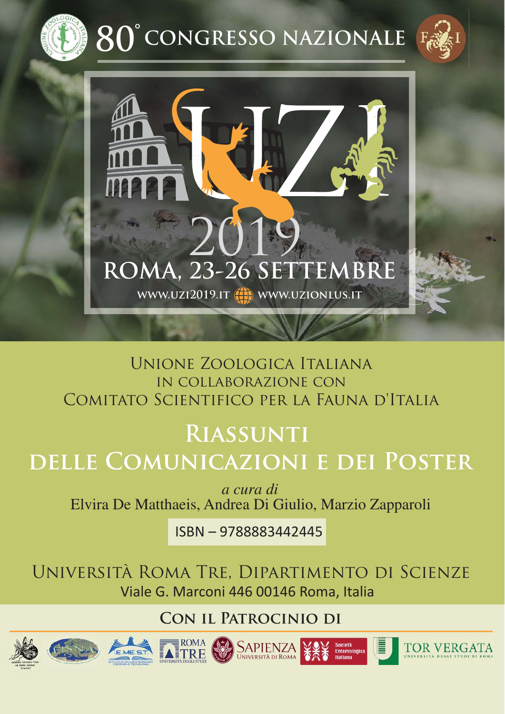

**80 CONGRESSO NAZIONALE °**





# Unione Zoologica Italiana in collaborazione con Comitato Scientifico per la Fauna d'Italia

# **Riassunti delle Comunicazioni e dei Poster**

*a cura di* Elvira De Matthaeis, Andrea Di Giulio, Marzio Zapparoli

ISBN – 9788883442445

Università Roma Tre, Dipartimento di Scienze Viale G. Marconi 446 00146 Roma, Italia

**Con il Patrocinio di**